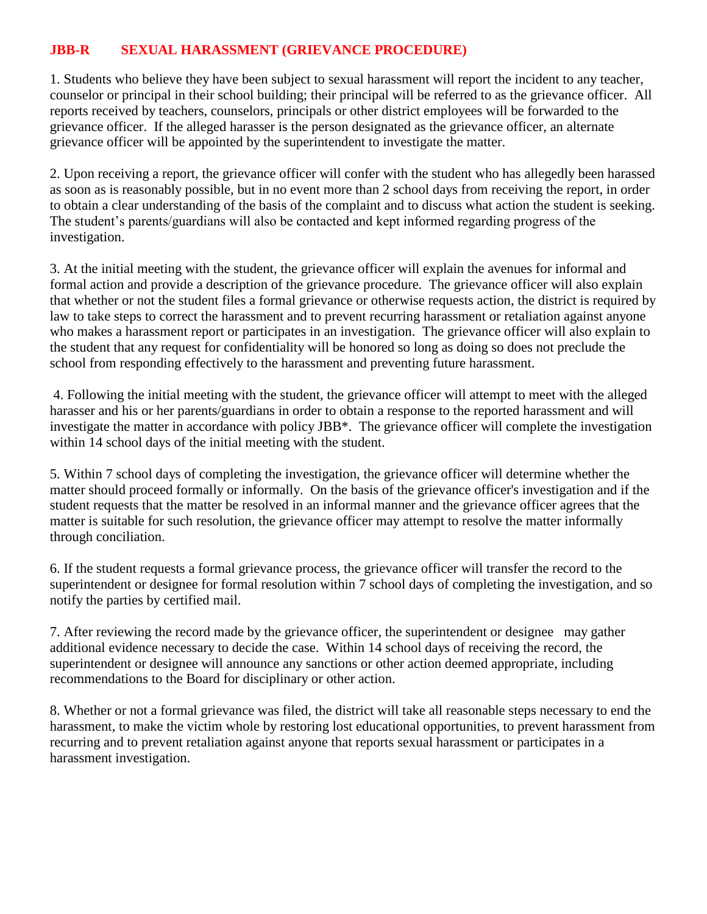## **JBB-R SEXUAL HARASSMENT (GRIEVANCE PROCEDURE)**

1. Students who believe they have been subject to sexual harassment will report the incident to any teacher, counselor or principal in their school building; their principal will be referred to as the grievance officer. All reports received by teachers, counselors, principals or other district employees will be forwarded to the grievance officer. If the alleged harasser is the person designated as the grievance officer, an alternate grievance officer will be appointed by the superintendent to investigate the matter.

2. Upon receiving a report, the grievance officer will confer with the student who has allegedly been harassed as soon as is reasonably possible, but in no event more than 2 school days from receiving the report, in order to obtain a clear understanding of the basis of the complaint and to discuss what action the student is seeking. The student's parents/guardians will also be contacted and kept informed regarding progress of the investigation.

3. At the initial meeting with the student, the grievance officer will explain the avenues for informal and formal action and provide a description of the grievance procedure. The grievance officer will also explain that whether or not the student files a formal grievance or otherwise requests action, the district is required by law to take steps to correct the harassment and to prevent recurring harassment or retaliation against anyone who makes a harassment report or participates in an investigation. The grievance officer will also explain to the student that any request for confidentiality will be honored so long as doing so does not preclude the school from responding effectively to the harassment and preventing future harassment.

4. Following the initial meeting with the student, the grievance officer will attempt to meet with the alleged harasser and his or her parents/guardians in order to obtain a response to the reported harassment and will investigate the matter in accordance with policy JBB\*. The grievance officer will complete the investigation within 14 school days of the initial meeting with the student.

5. Within 7 school days of completing the investigation, the grievance officer will determine whether the matter should proceed formally or informally. On the basis of the grievance officer's investigation and if the student requests that the matter be resolved in an informal manner and the grievance officer agrees that the matter is suitable for such resolution, the grievance officer may attempt to resolve the matter informally through conciliation.

6. If the student requests a formal grievance process, the grievance officer will transfer the record to the superintendent or designee for formal resolution within 7 school days of completing the investigation, and so notify the parties by certified mail.

7. After reviewing the record made by the grievance officer, the superintendent or designee may gather additional evidence necessary to decide the case. Within 14 school days of receiving the record, the superintendent or designee will announce any sanctions or other action deemed appropriate, including recommendations to the Board for disciplinary or other action.

8. Whether or not a formal grievance was filed, the district will take all reasonable steps necessary to end the harassment, to make the victim whole by restoring lost educational opportunities, to prevent harassment from recurring and to prevent retaliation against anyone that reports sexual harassment or participates in a harassment investigation.